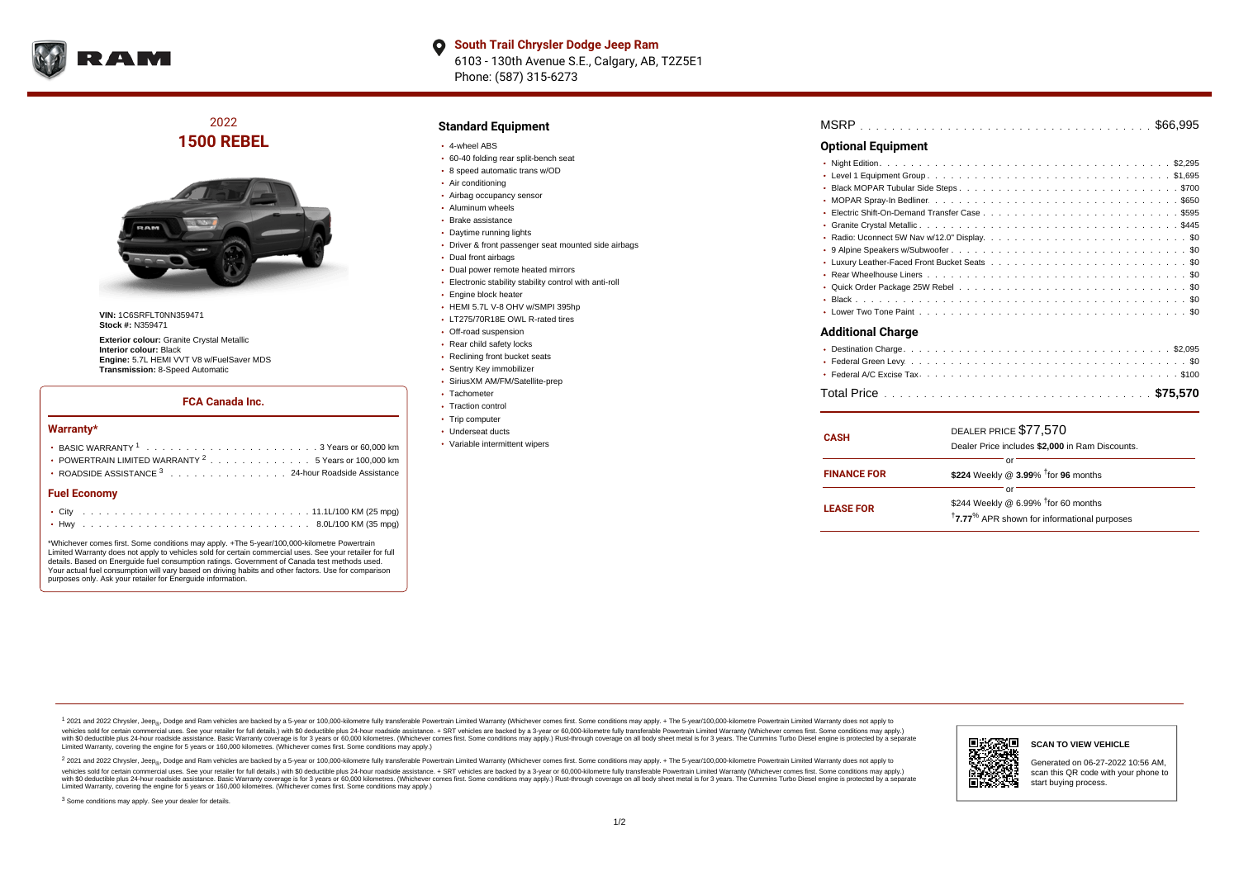

**South Trail Chrysler Dodge Jeep Ram**  $\bullet$ 6103 - 130th Avenue S.E., Calgary, AB, T2Z5E1 Phone: (587) 315-6273

2022 **1500 REBEL**



**VIN:** 1C6SRFLT0NN359471 **Stock #:** N359471

**Exterior colour:** Granite Crystal Metallic **Interior colour:** Black **Engine:** 5.7L HEMI VVT V8 w/FuelSaver MDS **Transmission:** 8-Speed Automatic

#### **FCA Canada Inc.**

#### **Warranty\***

| <b>Fuel Economy</b>                                                                              |  |  |  |  |  |
|--------------------------------------------------------------------------------------------------|--|--|--|--|--|
| ROADSIDE ASSISTANCE <sup>3</sup> 24-hour Roadside Assistance                                     |  |  |  |  |  |
| • POWERTRAIN LIMITED WARRANTY <sup>2</sup> 5 Years or 100,000 km                                 |  |  |  |  |  |
| BASIC WARRANTY $1, \ldots, \ldots, \ldots, \ldots, \ldots, \ldots, \ldots, 3$ Years or 60.000 km |  |  |  |  |  |

\*Whichever comes first. Some conditions may apply. +The 5-year/100,000-kilometre Powertrain Limited Warranty does not apply to vehicles sold for certain commercial uses. See your retailer for full details. Based on Energuide fuel consumption ratings. Government of Canada test methods used. Your actual fuel consumption will vary based on driving habits and other factors. Use for comparison purposes only. Ask your retailer for Energuide information.

### **Standard Equipment**

- 4-wheel ABS
- 60-40 folding rear split-bench seat
- 8 speed automatic trans w/OD
- Air conditioning
- Airbag occupancy sensor
- Aluminum wheels
- Brake assistance
- Daytime running lights
- Driver & front passenger seat mounted side airbags
- Dual front airbags
- Dual power remote heated mirrors
- Electronic stability stability control with anti-roll
- **Engine block heater**
- HEMI 5.7L V-8 OHV w/SMPI 395hp
- LT275/70R18E OWL R-rated tires
- Off-road suspension
- Rear child safety locks
- Reclining front bucket seats
- Sentry Key immobilizer
- SiriusXM AM/FM/Satellite-prep
- Tachometer
- Traction control
- Trip computer
- Underseat ducts
- Variable intermittent wipers

| <b>Optional Equipment</b> |
|---------------------------|
|                           |
|                           |
|                           |
|                           |
|                           |
|                           |
|                           |
|                           |
|                           |
|                           |
|                           |
|                           |
|                           |
| <b>Additional Charge</b>  |
|                           |
|                           |

| <b>CASH</b>        | DEALER PRICE \$77,570<br>Dealer Price includes \$2,000 in Ram Discounts.                             |  |  |  |  |  |  |  |  |  |  |
|--------------------|------------------------------------------------------------------------------------------------------|--|--|--|--|--|--|--|--|--|--|
| <b>FINANCE FOR</b> | Ωľ<br>\$224 Weekly @ 3.99% <sup>†</sup> for 96 months                                                |  |  |  |  |  |  |  |  |  |  |
| <b>LEASE FOR</b>   | Ωľ<br>\$244 Weekly @ 6.99% <sup>†</sup> for 60 months<br>17.77% APR shown for informational purposes |  |  |  |  |  |  |  |  |  |  |

<sup>1</sup> 2021 and 2022 Chrysler, Jeep<sub>®</sub>, Dodge and Ram vehicles are backed by a 5-year or 100,000-kilometre fully transferable Powertrain Limited Warranty (Whichever comes first. Some conditions may apply. + The 5-year/100,000 vehicles sold for certain commercial uses. See your retailer for full details.) with \$0 deductible plus 24 hour roadside assistance. + SRT vehicles are backed by a 3-year or 60,000-kilometre fully transferable Powertrain L versus and contract the mean of the contract of the contract with a contract with a contract the contract of the contract of the contract the contract of the contract of the contract of the contract of the contract of the Limited Warranty, covering the engine for 5 years or 160,000 kilometres. (Whichever comes first. Some conditions may apply.)

2 2021 and 2022 Chrysler, Jeep<sub>®</sub>, Dodge and Ram vehicles are backed by a 5-year or 100,000-kilometre fully transferable Powertrain Limited Warranty (Whichever comes first. Some conditions may apply. + The 5-year/100,000-k vehicles sold for certain commercial uses. See your retailer for full details.) with SO deductible plus 24-hour roadside assistance. + SRT vehicles are backed by a 3-year or 60.000-kilometre fully transferable Powertrain. with S0 deductible plus 24-hour roadside assistance. Basic Warranty coverage is for 3 years or 60,000 kilometres. (Whichever comes first. Some conditions may apply.) Rust-through coverage on all body sheet metal is for 3 y



<sup>3</sup> Some conditions may apply. See your dealer for details.